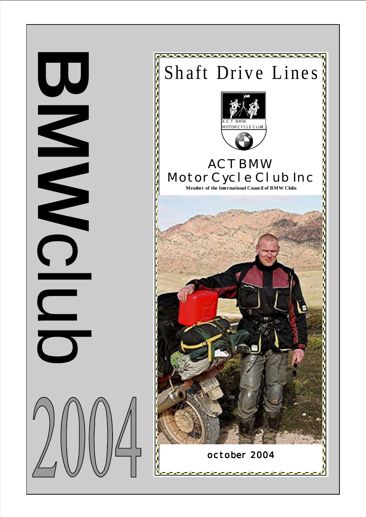

**BMW** 

C<br>C<br>C<br>C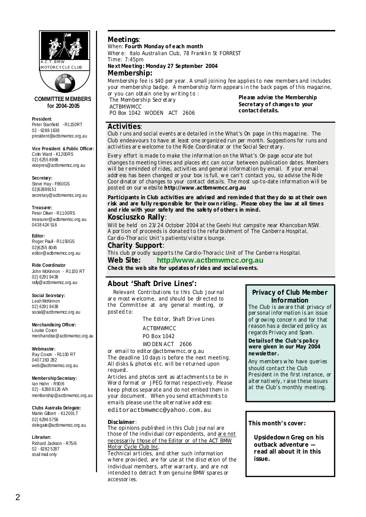

#### **COMMITTEE M EMBERS for 2004-2005**

**President**: Peter Stanfield - R1150RT 02 - 6288 1638 president@actbmwmcc.org.au

**Vice President & Public Officer:**  Colin Ward - K1200RS 02) 6255 8998 vicepres@actbmwmcc.org.au

**Secretary:**  Steve Hay - F650GS 02)62889151 secretary@actbmwmcc.org.au

## **Treasurer:**

Peter Oliver - R1100RS treasurer@actbmwmcc.org.au 0438 424 516

**Editor:**  Roger Paull - R1150GS 02)6255 8045 editor@actbmwmcc.org.au

#### **Ride Coordinator**

John McKinnon - R1150 RT 02) 6291 9438 rally@actbmwmcc.org.au

#### **Social Secretary:**

Leah McKinnon 02) 6291 9438 social@actbmwmcc.org.au

**Merchandising Officer:**  Louise Coxon

merchandise@actbmwmcc.org.au

#### **Webmaster:**

Ray Coxon - R1100 RT 0407 263 282 web@actbmwmcc.org.au

**Membership Secretary:**  Ian Hahn - R90/6

02) - 6288 8126 A/h membership@actbmwmcc.org.au

**Clubs Australia Delegate:**

Martin Gilbert - K1200LT 02) 6296 5758 delegate@actbmwmcc.org.au

**Librarian:**

Richard Jackson - R75/6 02 - 6282 5287 snail mail only

## **Meetings**:

When: **Fourth Monday of each month** 

Wher e: Italo Australian Club, 78 Franklin St FORREST  $Time: 7:45nm$ 

#### **Next Meeting : Monday 27 September 2004 Membership:**

Membership fee is \$40 per year . A small joining fee applies to new members and includes your membership badge. A membership form appears in the back pages of this magazine, or you can obtain one by writing to :

The Membership Secretary ACTBMWMCC PO Box 1042 WODEN ACT 2606

**Please advise the Membership Secretary of changes to your contact details.**

## **Activities**:

Club r uns and social events ar e detailed in the *What's On* page in this magazine. The Club endeavours to have at least one organized run per month. Suggestions for runs and activities ar e welcome to the Ride Coordinator or the Social Secr etary.

Every effort is made to make the information on the *What's On* page accur ate but changes to meeting times and places etc can occur between publication dates. Members will be reminded of rides, activities and general information by email. If your email addr ess has been changed or your box is full, we can't contact you, so advise the Ride Coor dinator of changes to your contact details. The most up-to-date information will be posted on our website **http://www.actbmwmcc.org .au** 

**Participants in Club activities are advised and reminded that they do so at their own risk and are fully responsible for their own riding . Please obey the law at all times and ride with your safety and the safety of others in mind.** 

## **Kosciuszko Rally**:

Will be held on 23/24 October 2004 at the Geehi Hut campsite near Khancoban NSW. A por tion of proceeds is donated to the refur bishment of The Canberra Hospital, Car dio-Thor acic Unit's patients/visitor s lounge.

#### **Charity Support**:

This club pr oudly supports the Cardio-Thoracic Unit of The Canberra Hospital.

**Web Site: http://www.actbmwmcc.org.au Check the web site for updates of rides and social events.**

## **About 'Shaft Drive Lines':**

Relevant Contributions to this Club Jour nal ar e most welcome, and should be dir ected to the Committee at any general meeting, or posted to:

The Editor, Shaft Drive Lines

 ACTBMWMCC PO Box 1042

WO DEN ACT 2606

or email to editor @actbmwmcc.or g.au The deadline 10 days is before the next meeting. All disks & photos etc. will be r eturned upon request.

Articles and photos sent as attachments to be in Wor d format or JPEG format respectively. Please keep photos separate and do not embed them in your document. When you send attachments to emails please use the alter native address:

editoractbmwmcc@yahoo.com.au

#### **Disclaimer** :

The opinions published in this Club Jour nal are those of the individual corr espondents, and ar e not necessarily those of the Editor or of the ACT BMW Motor Cycle Club Inc.

Technical articles, and other such information where provided, are for use at the discretion of the individual members, after warranty, and are not intended to detract fr om genuine BMW spares or accessor ies.

## **Privacy of Club Member Information**

The Club is aware that privacy of per sonal infor mation is an issue of gr owing concer n and for that reason has a declar ed policy as regards *Privacy* and *Spam*.

#### **Details of the Club's policy were given in our May 2004 newsletter.**

Any members who have queries should contact the Club President in the first instance, or alter natively, r aise these issues at the Club's monthly meeting.

## **This month's cover:**

**Upsidedown Greg on his outback adventure read all about it in this issue.**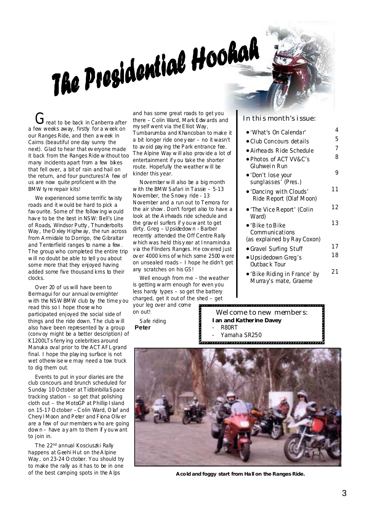# The Presidential Hookah

a few weeks away, firstly for a week on our Ranges Ride, and then a week in Cairns (beautiful one day sunny the next). Glad to hear that ev eryone made it back from the Ranges Ride without too many incidents apart from a few bikes that fell over, a bit of rain and hail on the return, and four punctures! A few of us are now quite proficient with the BMW ty re repair kits!

We experienced some terrific twisty roads and it would be hard to pick a fav ourite. Some of the following would hav e to be the best in NSW: Bell's Line of Roads, Windsor Putty , Thunderbolts Way , the O xley Highway, the run across from A rmidale to Dorrigo, the Gibraltar and Tenterfield ranges to name a few. The group who completed the entire trip will no doubt be able to tell y ou about some more that they enjoyed having added some five thousand kms to their clocks.

Over 20 of us will have been to Bermagui for our annual ov ernighter with the NSW BMW club by the time y ou read this so I hope those who participated enjoyed the social side of things and the ride down. The club will also have been represented by a group (conv oy might be a better description) of K1200LTs ferry ing celebrities around Manuka oval prior to the ACT AFL grand final. I hope the play ing surface is not wet otherwise we may need a tow truck to dig them out.

Events to put in your diaries are the club concours and brunch scheduled for Sunday 10 October at Tidbinbilla Space tracking station – so get that polishing cloth out – the MotoGP at Phillip Island on 15-17 O ctober – C olin Ward, O laf and Chery l Moon and Peter and Fiona Oliv er are a few of our members who are going down – have a y arn to them if y ou want to join in.

The 22<sup>nd</sup> annual Kosciuszki Rally happens at Geehi Hut on the A lpine Way , on 23-24 O ctober. You should try to make the rally as it has to be in one of the best camping spots in the A lps

The interest of the second ground and  $\sigma$  is the Elliot Mark Edwards and In this month's issue: and has some great roads to get you there – C olin Ward, Mark Edwards and my self went via the Elliot Way, Tumbarumba and Khancoban to make it a bit longer ride one y ear – no it wasn't to av oid pay ing the Park entrance fee. The Alpine Way will also prov ide a lot of entertainment if y ou take the shorter route. Hopefully the weather will be kinder this year.

> November will also be a big month with the BMW Safari in Tassie  $-5-13$ November, the Snowy ride - 13 November and a run out to Temora for the air show. Don't forget also to have a look at the A irheads ride schedule and the grav el surfers if y ou want to get dirty. Greg – Upsidedown - Barber recently attended the Off Centre Rally which was held this y ear at Innamincka v ia the Flinders Ranges. He cov ered just ov er 4000 kms of which some 2500 were on unsealed roads – I hope he didn't get any scratches on his GS!

Well enough from me – the weather is getting warm enough for even you less hardy types – so get the battery charged, get it out of the shed – get your leg over and come

on out! Safe riding

**Peter**

Welcome to new members: **Ian and Katherine Davey**  - R80RT Yamaha SR<sub>250</sub>



 **A cold and foggy start from Ha ll on the Ranges Ride.** 

| ∙′What's On Calendar′                                      | 4  |
|------------------------------------------------------------|----|
| $\bullet$ Club Concours details                            | 5  |
| $\bullet$ Airheads Ride Schedule                           | 7  |
| ● Photos of ACT VV&C's<br>Gluhwein Run                     | 8  |
| ●'Don't lose your<br>sunglasses' (Pres.)                   | 9  |
| $\bullet$ 'Dancing with Clouds'<br>Ride Report (Olaf Moon) | 11 |
| $\bullet$ 'The Vice Report' (Colin<br>Ward)                | 12 |
| $\bullet$ 'Bike to Bike<br>Communications                  | 13 |
| (as explained by Ray Coxon)                                | 17 |
| • Gravel Surfing Stuff                                     | 18 |
| • Upsidedown Greg's<br>Outback Tour                        |    |
| $\bullet$ 'Rike Riding in France' by                       | 21 |

• 'Bike Riding in France' by Murray's mate, Graeme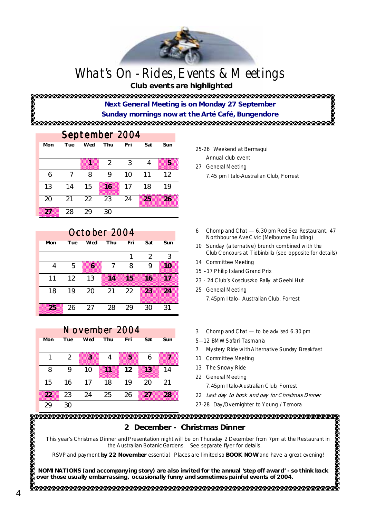## What's On - Rides, Events & Meetings

 **Club events are highlighted** 

## **Next General Meeting is on Monday 27 September**

**Sunday mornings now at the Arté Café, Bungendore** 

## September 2004

| Mon | Tue | Wed | Thu | Fri | Sat | Sun |
|-----|-----|-----|-----|-----|-----|-----|
|     |     | 8   | 2   | 3   |     | Ø   |
| 6   |     | 8   | 9   | 10  | 11  | 12  |
| 13  | 14  | 15  | 36  | 17  | 18  | 19  |
| 20  | 21  | 22  | 23  | 24  | 25  | 26  |
| m   | 28  | 29  | 30  |     |     |     |

## October 2004

|     |     | .   | $  -$ |     |     |     |  |
|-----|-----|-----|-------|-----|-----|-----|--|
| Mon | Tue | Wed | Thu   | Fri | Sat | Sun |  |
|     |     |     |       |     | 2   | 3   |  |
| 4   | 5   | X.  |       | 8   | 9   | 30  |  |
| 11  | 12  | 13  | m.    | 33  | 86  | 32  |  |
| 18  | 19  | 20  | 21    | 22  | 23. | 24  |  |
| 25  | 26  | 27  | 28    | 29  | 30  | 31  |  |

| November 2004 |     |     |            |     |     |     |
|---------------|-----|-----|------------|-----|-----|-----|
| Mon           | Tue | Wed | <b>Thu</b> | Fri | Sat | Sun |
|               |     |     |            |     |     |     |
|               | 2   | ×   | 4          | s   | 6   | æ   |
| 8             |     | 10  | 88         | 12  | 33  | 14  |
| 15            | 16  | 17  | 18         | 19  | 20  | 21  |
| 22            | 23  | 24  | 25         | 26  | 20  | 28  |
| 29            | 30  |     |            |     |     |     |

#### 25-26 Weekend at Bermagui Annual club event

- 27 General Meeting
	- 7.45 pm Italo-Australian Club, Forrest
- 6 Chomp and C hat 6.30 pm Red Sea Restaurant, 47 Northbourne Ave C ivic (Melbourne Building)
- 10 Sunday (alternative) brunch combined with the Club C oncours at Tidbinbilla (see opposite for details)
- 14 Committee Meeting
- 15 –17 Philip Island Grand Prix
- 23 24 C lub's Kosciuszko Rally at Geehi Hut
- 25 General Meeting 7.45pm Italo– Australian Club, Forrest
- 3 Chomp and C hat to be adv ised 6.30 pm
- 5—12 BMW Safari Tasmania
- 7 Mystery Ride with A lternative Sunday Breakfast
- 11 Committee Meeting
- 13 The Snowy Ride
- 22 General Meeting
	- 7.45pm Italo-A ustralian C lub, Forrest
- 22 Last day to book and pay for C hristmas Dinner
- 27-28 Day /Overnighter to Young / Temora

# **ANAMA CAMA ANAMA SA SA SA**

**2 December - Christmas Dinner** 

This year's Christmas Dinner and Presentation night will be on Thursday 2 December from 7pm at the Restaurant in the A ustralian Botanic Gardens. See separate flyer for details.

RSVP and payment **by 22 November** essential. Places are limited so **BOOK NOW** and have a great evening!

**NOMINATIONS (and accompanying story) are also invited for the annual 'step off award' - so think back over those usually embarrassing, occasionally funny and sometimes painful events of 2004.**

4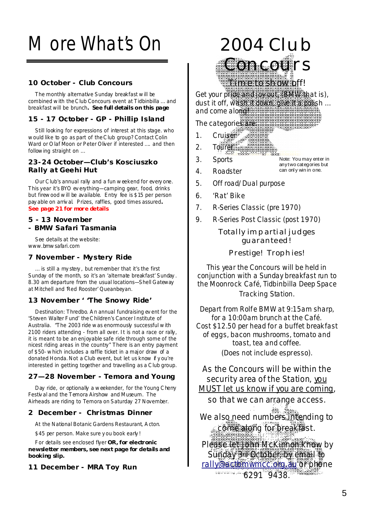# More What's On

## **10 October - Club Concours**

The monthly alternative Sunday breakfast will be combined with the C lub Concours event at Tidbinbilla … and breakfast will be brunch**. See full details on this page** 

## **15 - 17 October - GP - Phillip Island**

Still looking for expressions of interest at this stage. who would like to go as part of the C lub group? Contact Colin Ward or O laf Moon or Peter Oliver if interested .... and then following straight on …

## **23-24 October—Club's Kosciuszko Rally at Geehi Hut**

Our C lub's annual rally and a fun weekend for every one. This year it's BYO ev erything—camping gear, food, drinks but firewood will be available. Entry fee is \$15 per person pay able on arriv al. Prizes, raffles, good times assured**. See page 21 for more details** 

## **5 - 13 November - BMW Safari Tasmania**

See details at the website: www.bmwsafari.com

## **7 November - Mystery Ride**

… is still a my stery , but remember that it's the first Sunday of the month, so it's an 'alternate breakfast' Sunday . 8.30 am departure from the usual locations—Shell Gateway at Mitchell and 'Red Rooster' Queanbeyan.

## **13 November ' 'The Snowy Ride'**

Destination: Thredbo. A n annual fundraising ev ent for the 'Steven Walter Fund' the C hildren's Cancer Institute of Australia. "The 2003 ride was enormously successful with 2100 riders attending - from all over. It is not a race or rally, it is meant to be an enjoyable safe ride through some of the nicest riding areas in the country" There is an entry payment of \$50- which includes a raffle ticket in a major draw of a donated Honda. Not a Club event, but let us know if y ou're interested in getting together and travelling as a C lub group.

## **27—28 November - Temora and Young**

Day ride, or optionally a weekender, for the Young C herry Festiv al and the Temora Airshow and Museum. The Airheads are riding to Temora on Saturday 27 November.

## **2 December - Christmas Dinner**

At the National Botanic Gardens Restaurant, A cton.

\$45 per person. Make sure y ou book early !

For details see enclosed flyer **OR, for electronic newsletter members, see next page for details and booking slip.** 

**11 December - MRA Toy Run**



6. 'Rat' Bike

- 7. R-Series Classic (pre 1970)
- 9. R-Series Post Classic (post 1970)

Totally impartial judges guaranteed!

Prestige! Trophies!

This year the Concours will be held in conjunction with a Sunday breakfast run to the Moonrock Café, Tidbinbilla Deep Space Tracking Station.

Depart from Rolfe BMW at 9:15am sharp, for a 10:00am brunch at the Café. Cost \$12.50 per head for a buffet breakfast of eggs, bacon mushrooms, tomato and toast, tea and coffee. (Does not include espresso).

As the Concours will be within the security area of the Station, you MUST let us know if you are coming,

so that we can arrange access.

We also need numbers intending to come along for breakfast.

Please let John McKinnon know by Sunday 3rd October, by email to rally@actbmwmcc.org.au or phone  $62919438$ SKRISKEINER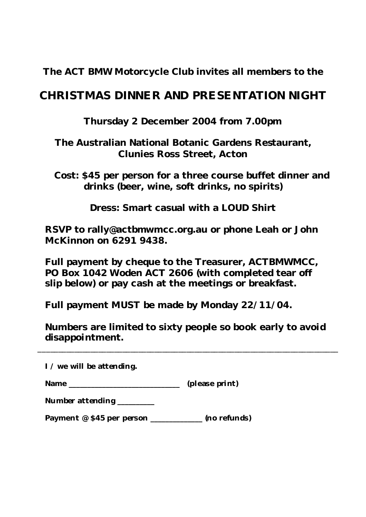**The ACT BMW Motorcycle Club invites all members to the** 

## **CHRISTMAS DINNER AND PRESENTATION NIGHT**

**Thursday 2 December 2004 from 7.00pm** 

**The Australian National Botanic Gardens Restaurant, Clunies Ross Street, Acton** 

 **Cost: \$45 per person for a three course buffet dinner and drinks (beer, wine, soft drinks, no spirits)** 

**Dress: Smart casual with a LOUD Shirt** 

 **RSVP to rally@actbmwmcc.org.au or phone Leah or John McKinnon on 6291 9438.** 

 **Full payment by cheque to the Treasurer, ACTBMWMCC, PO Box 1042 W oden ACT 2606 (with completed tear off slip below) or pay cash at the meetings or breakfast.** 

 **Full payment MUST be made by Monday 22/11/04.** 

 **Numbers are limited to sixty people so book early to avoid disappointment.** 

\_\_\_\_\_\_\_\_\_\_\_\_\_\_\_\_\_\_\_\_\_\_\_\_\_\_\_\_\_\_\_\_\_\_\_\_\_\_\_\_\_\_\_\_\_\_\_\_\_\_\_\_\_\_\_\_\_\_\_\_\_\_\_\_\_\_\_\_\_\_\_\_\_\_\_

 **I / we will be attending.** 

**Name** (please print)

|  | Number attending |  |
|--|------------------|--|
|--|------------------|--|

Payment @ \$45 per person \_\_\_\_\_\_\_\_\_\_\_\_\_ (no refunds)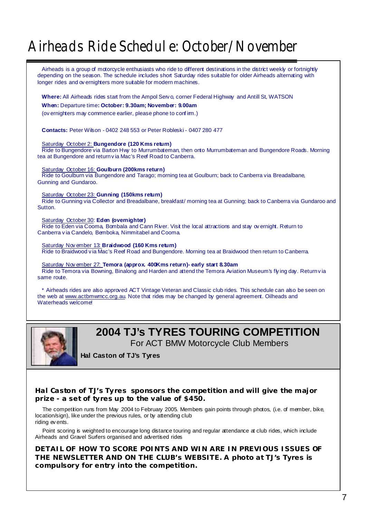## Airheads Ride Schedule: October/November

Airheads is a group of motorcycle enthusiasts who ride to different destinations in the district weekly or fortnightly depending on the season. The schedule includes short Saturday rides suitable for older Airheads alternating with longer rides and ov ernighters more suitable for modern machines.

**Where:** All Airheads rides start from the Ampol Serv o, corner Federal Highway and Antill St, WATSON

**When:** Departure time**: October: 9.30am; November: 9.00am**

(ov ernighters may commence earlier, please phone to conf im.)

**Contacts:** Peter Wilson - 0402 248 553 or Peter Robleski - 0407 280 477

Saturday October 2: **Bungendore (120 Kms return)**

Ride to Bungendore via Barton Hwy to Murrumbateman, then onto Murrumbateman and Bungendore Roads. Morning tea at Bungendore and return v ia Mac's Reef Road to Canberra.

Saturday October 16: **Goulburn (200kms return)**

Ride to Goulburn via Bungendore and Tarago; morning tea at Goulburn; back to Canberra via Breadalbane, Gunning and Gundaroo.

Saturday October 23: **Gunning (150kms return)**

Ride to Gunning via Collector and Breadalbane, breakfast/ morning tea at Gunning; back to Canberra via Gundaroo and **Sutton** 

Saturday October 30: **Eden (overnighter)**

Ride to Eden via Cooma, Bombala and Cann River. Visit the local attractions and stay ov ernight. Return to Canberra v ia Candelo, Bemboka, Nimmitabel and Cooma.

Saturday Nov ember 13: **Braidwood (160 Kms return)**

Ride to Braidwood v ia Mac's Reef Road and Bungendore. Morning tea at Braidwood then return to Canberra.

Saturday Nov ember 27: **Temora (approx. 400Kms return)- early start 8.30am** Ride to Temora via Bowning, Binalong and Harden and attend the Temora Aviation Museum's fly ing day. Return v ia same route.

\* Airheads rides are also approved ACT Vintage Veteran and Classic club rides. This schedule can also be seen on the web at www.actbmwmcc.org.au. Note that rides may be changed by general agreement. Oilheads and Waterheads welcome!



## **2004 TJ's TYRES TOURING COMPETITION**

For ACT BMW Motorcycle Club Members

**Hal Caston of TJ's Tyres** 

**Hal Caston of TJ's Tyres sponsors the competition and will give the major prize - a set of tyres up to the value of \$450.** 

The competition runs from May 2004 to February 2005. Members gain points through photos, (i.e. of member, bike, location/sign), like under the previous rules, or by attending club riding ev ents.

Point scoring is weighted to encourage long distance touring and regular attendance at club rides, which include Airheads and Gravel Surfers organised and advertised rides

**DETAIL OF HOW TO SCORE POINTS AND WIN ARE IN PREVIOUS ISSUES OF THE NEWSLETTER AND ON THE CLUB's WEBSITE. A photo at TJ's Tyres is compulsory for entry into the competition.**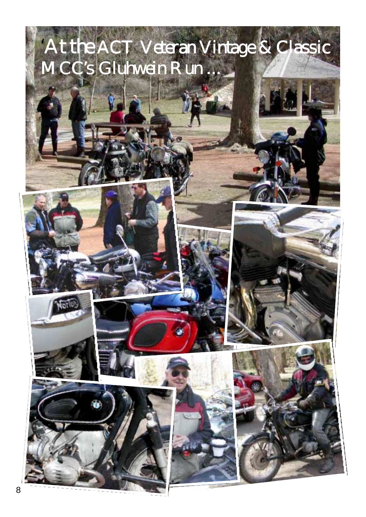# 'At the ACT Veteran Vintage & Classic MCC's Gluhwein Run ...







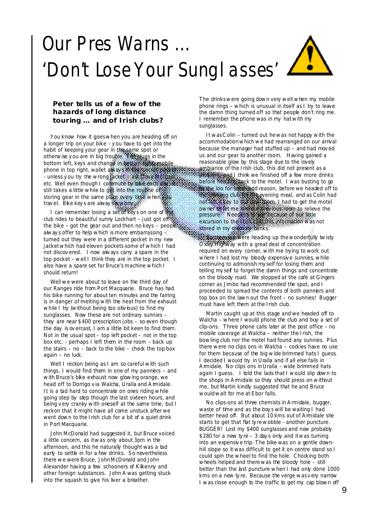# Our Pres Warns … 'Don't Lose Your Sunglasses'



## **Peter tells us of a few of the hazards of long distance touring … and of Irish clubs?**

You know how it goes when you are heading off on a longer trip on your bike – y ou have to get into the habit of keeping your gear in the same spot or otherwise y ou are in big trouble. Ear plugs in the bottom left, keys and change in bottom right, mobile phone in top right, wallet aways in the 'secret pocket - unless y ou try the wrong jacket – ask Dave Morgan etc. Well even though I commute by bike each day, it still takes a little while to get into the routine of storing gear in the same place every time when you trav el. Bike key s are alway s a worry.

I can remember losing a set of key s on one of the club rides to beautiful sunny Lockhart – just got off the bike – got the gear out and then no keys – people alway s offer to help which is more embarrassing – turned out they were in a different pocket in my new jacket which had eleven pockets some of which I had not discov ered. I now always carry a spare in the top pocket – well I think they are in the top pocket. I also have a spare set for Bruce's machine which I should return!

Well we were about to leave on the third day of our Ranges ride from Port Macquarie. Bruce has had his bike running for about ten minutes and the fairing is in danger of melting with the heat from the exhaust while I try (without being too obvious) to find my sunglasses. Now these are not ordinary sunnies – they are near \$400 prescription jobs – so even though the day is ov ercast, I am a little bit keen to find them. Not in the usual spot – top left pocket – not in the top box etc. - perhaps I left them in the room – back up the stairs –  $no - back$  to the bike – check the top box again - no luck.

Well I reckon being as I am so careful with such things, I would find them in one of my panniers – and with Bruce's bike exhaust now glowing orange, we head off to Dorrigo v ia Walcha, Uralla and A midale. It is a tad hard to concentrate on ones riding while going step by step though the last sixteen hours, and being v ery cranky with oneself at the same time, but I reckon that it might have all come unstuck after we went down to the Irish club for a bit of a quiet drink in Port Macquarie.

John McDonald had suggested it, but Bruce voiced a little concern, as it was only about 3pm in the afternoon, and this he naturally thought was a tad early to settle in for a few drinks. So nevertheless there we were Bruce, John McDonald and John Alexander having a few schooners of Kilkenny and other foreign substances. John A was getting stuck into the squash to give his liver a breather.

The drinks were going down very well when my mobile phone rings – which is unusual in itself as I try to leave the damn thing turned off so that people don't ring me. I remember the phone was in my hat with my sunglasses.

It was C olin – turned out he was not happy with the accommodation which we had rearranged on our arrival because the manager had stuffed up – and had mov ed us and our gear to another room. Having gained a reasonable glow by this stage due to the lovely ambiance of the Irish club, this did not present as a **problem, and I** think we finished off a few more drinks before heading back to the motel. I was busting to go the loo for some nod reason, before we headed off to the bowling club for the evening meal, and as Colin had not left a key to our new room, I had to get the motel owner to let me into aux previous room to relieve the pressure. Needless to say because of our little excursion to the Irish club this information was not stored in my memory banks.

Socious were heading up the wonderfully twisty O xley Highway with a great deal of concentration required on every corner, with me trying to work out where I had lost my bloody expensive sunnies, while continuing to admonish my self for losing them and telling my self to forget the damn things and concentrate on the bloody road. We stopped at the café at Gingers corner as Jimbo had recommended the spot, and I proceeded to spread the contents of both panniers and top box on the lawn out the front – no sunnies! Bugger must have left them at the Irish club.

Martin caught up at this stage and we headed off to Walcha – where I would phone the club and buy a set of clip-ons. Three phone calls later at the post office – no mobile coverage at Walcha – neither the Irish, the bowling club nor the motel had found any sunnies. Plus there were no clips ons in Walcha  $-$  cockies have no use for them because of the big wide brimmed hats I guess. I decided I would try in Uralla and if all else fails in A midale. No clips ons in Uralla – wide brimmed hats again I guess. I told the lads that I would slip down to the shops in A midale so they should press on without me, but Martin kindly suggested that he and Bruce would wait for me at Ebor falls.

No clips-ons at three chemists in A rmidale, bugger, waste of time and as the boy s will be waiting I had better head off. But about 10 kms out of A midale she starts to get that flat ty re wobble - another puncture. BUGGER! Lost my \$400 sunglasses and now probably \$280 for a new ty re – 3 day s only and it was turning into an expensiv e trip. The bike was on a gentle downhill slope so it was difficult to get it on centre stand so I could spin the wheel to find the hole. C hocking both wheels helped and there was the bloody hole – still better than the last puncture when I had only done 1000 kms on a new tyre. Because the verge was very narrow I was close enough to the traffic to get my cap blown off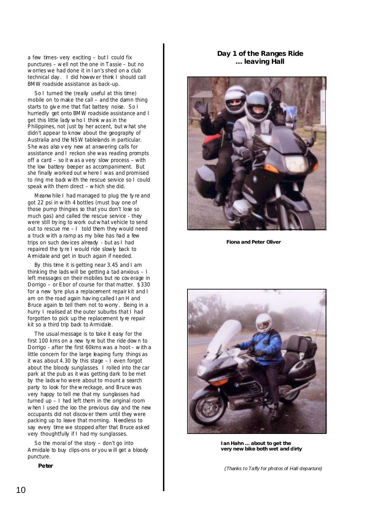a few times- very exciting – but I could fix punctures – well not the one in Tassie – but no worries we had done it in Ian's shed on a club technical day . I did howev er think I should call BMW roadside assistance as back-up.

So I turned the (really useful at this time) mobile on to make the call – and the damn thing starts to giv e me that flat battery noise. So I hurriedly get onto BMW roadside assistance and I get this little lady who I think was in the Philippines, not just by her accent, but what she didn't appear to know about the geography of Australia and the NSW tablelands in particular. She was also v ery new at answering calls for assistance and I reckon she was reading prompts off a card – so it was a very slow process – with the low battery beeper as accompaniment. But she finally worked out where I was and promised to ring me back with the rescue service so I could speak with them direct – which she did.

Meanwhile I had managed to plug the ty re and got 22 psi in with 4 bottles (must buy one of those pump thingies so that you don't lose so much gas) and called the rescue service - they were still trying to work out what vehicle to send out to rescue me – I told them they would need a truck with a ramp as my bike has had a few trips on such dev ices already - but as I had repaired the ty re I would ride slowly back to A rmidale and get in touch again if needed.

By this time it is getting near 3.45 and I am thinking the lads will be getting a tad anxious – I left messages on their mobiles but no cov erage in Dorrigo – or Ebor of course for that matter. \$330 for a new tyre plus a replacement repair kit and I am on the road again hav ing called Ian H and Bruce again to tell them not to worry . Being in a hurry I realised at the outer suburbs that I had forgotten to pick up the replacement ty re repair kit so a third trip back to Armidale.

The usual message is to take it easy for the first 100 kms on a new ty re but the ride down to Dorrigo - after the first 60kms was a hoot – with a little concern for the large leaping furry things as it was about 4.30 by this stage – I even forgot about the bloody sunglasses. I rolled into the car park at the pub as it was getting dark to be met by the lads who were about to mount a search party to look for the wreckage, and Bruce was very happy to tell me that my sunglasses had turned up – I had left them in the original room when I used the loo the previous day and the new occupants did not discov er them until they were packing up to leave that morning. Needless to say every time we stopped after that Bruce asked very thoughtfully if I had my sunglasses.

So the moral of the story – don't go into A rmidale to buy clips-ons or you will get a bloody puncture.

**Peter**

## **Day 1 of the Ranges Ride … leaving Hall**



**Fiona and Peter Oliver** 



**Ian Hahn … about to get the very new bike both wet and dirty** 

*(Thanks to Taffy for photos of Hall departure)*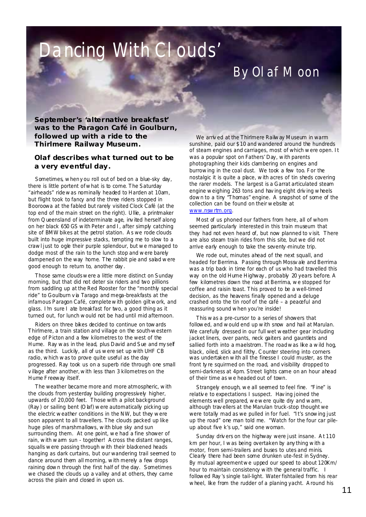# Pancing With Clouds'

## By Olaf Moon

**September's 'alternative breakfast' was to the Paragon Café in Goulburn, followed up with a ride to the Thirlmere Railway Museum.** 

## **Olaf describes what turned out to be a very eventful day.**

Sometimes, when you roll out of bed on a blue-sky day, there is little portent of what is to come. The Saturday "airheads" ride was nominally headed to Harden at 10am, but flight took to fancy and the three riders stopped in Booroowa at the fabled but rarely visited Clock Café (at the top end of the main street on the right). Ullie, a printmaker from Q ueensland of indeterminate age, inv ited herself along on her black 650 GS with Peter and I, after simply catching site of BMW bikes at the petrol station. As we rode clouds built into huge impressive stacks, tempting me to slow to a crawl just to ogle their purple splendour, but we managed to dodge most of the rain to the lunch stop and were barely dampened on the way home. The rabbit pie and salad were good enough to return to, another day .

Those same clouds were a little more distinct on Sunday morning, but that did not deter six riders and two pillions from saddling up at the Red Rooster for the "monthly special ride" to Goulburn v ia Tarago and mega-breakfasts at the infamous Paragon Café, complete with golden gilt work, and glass. I'm sure I ate breakfast for two, a good thing as it turned out, for lunch would not be had until mid afternoon.

Riders on three bikes decided to continue on towards Thirlmere, a train station and village on the south-western edge of Picton and a few kilometres to the west of the Hume. Ray was in the lead, plus David and Sue and my self as the third. Luckily, all of us were set up with UHF CB radio, which was to prove quite useful as the day progressed. Ray took us on a superb ride through one small v illage after another, with less than 3 kilometres on the Hume Freeway itself.

The weather became more and more atmospheric, with the clouds from yesterday building progressively higher, upwards of 20,000 feet. Those with a pilot background (Ray) or sailing bent (O laf) were automatically picking up the electric weather conditions in the NW, but they were soon apparent to all travellers. The clouds packed up like huge piles of marshmallows, with blue sky and sun surrounding them. At one point, we had a fine shower of rain, with warm sun - together! A cross the distant ranges, squalls were passing through with their blackened heads hanging as dark curtains, but our wandering trail seemed to dance around them all morning, with merely a few drops raining down through the first half of the day. Sometimes we chased the clouds up a valley and at others, they came across the plain and closed in upon us.

We arriv ed at the Thirlmere Railway Museum in warm sunshine, paid our \$10 and wandered around the hundreds of steam engines and carriages, most of which were open. It was a popular spot on Fathers' Day, with parents photographing their kids clambering on engines and burrowing in the coal dust. We took a few too. For the nostalgic it is quite a place, with acres of tin sheds covering the rarer models. The largest is a Garrat articulated steam engine weighing 263 tons and hav ing eight driv ing wheels down to a tiny "Thomas" engine. A snapshot of some of the collection can be found on their website at www.nswrtm.org.

Most of us phoned our fathers from here, all of whom seemed particularly interested in this train museum that they had not even heard of, but now planned to v isit. There are also steam train rides from this site, but we did not arrive early enough to take the seventy -minute trip.

We rode out, minutes ahead of the next squall, and headed for Berrima. Passing through Mossv ale and Berrima was a trip back in time for each of us who had travelled this way on the old Hume Highway , probably 20 years before. A few kilometres down the road at Berrima, we stopped for coffee and raisin toast. This proved to be a well-timed decision, as the heavens finally opened and a deluge crashed onto the tin roof of the café  $-$  a peaceful and reassuring sound when you're inside!

This was a pre-cursor to a series of showers that followed, and would end up with snow and hail at Marulan. We carefully dressed in our full wet weather gear including jacket liners, over pants, neck gaiters and gauntlets and sallied forth into a maelstrom. The road was like a wild hog, black, oiled, slick and filthy. C ounter steering into corners was undertaken with all the finesse I could muster, as the front ty re squirmed on the road, and visibility dropped to semi-darkness at 4pm. Street lights came on an hour ahead of their time as we headed out of town.

Strangely enough, we all seemed to feel fine. "Fine" is relativ e to expectations I suspect. Hav ing joined the elements well prepared, we were quite dry and warm, although trav ellers at the Marulan truck-stop thought we were totally mad as we pulled in for fuel. "It's snowing just up the road" one man told me. "Watch for the four car pileup about five k's up," said one woman.

Sunday driv ers on the highway were just insane. A t 110 km per hour, I was being overtaken by any thing with a motor, from semi-trailers and buses to utes and minis. Clearly there had been some drunken ute-fest in Sydney. By mutual agreement we upped our speed to about 120Km/ hour to maintain consistency with the general traffic. I followed Ray 's single tail-light. Water fishtailed from his rear wheel, like from the rudder of a planing yacht. A round his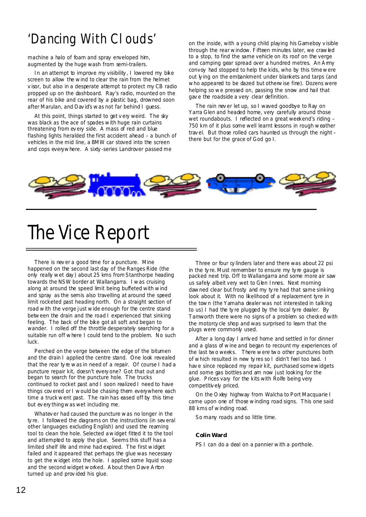## 'Dancing With Clouds'

machine a halo of foam and spray enveloped him, augmented by the huge wash from semi-trailers.

In an attempt to improve my visibility , I lowered my bike screen to allow the wind to clear the rain from the helmet v isor, but also in a desperate attempt to protect my CB radio propped up on the dashboard. Ray's radio, mounted on the rear of his bike and covered by a plastic bag, drowned soon after Marulan, and Dav id's was not far behind I guess.

At this point, things started to get v ery weird. The sky was black as the ace of spades with huge rain curtains threatening from ev ery side. A mass of red and blue flashing lights heralded the first accident ahead – a bunch of vehicles in the mid line, a BMW car stoved into the screen and cops everywhere. A sixty -series Landrover passed me

on the inside, with a young child playing his Gameboy v isible through the rear window. Fifteen minutes later, we crawled to a stop, to find the same vehicle on its roof on the verge and camping gear spread over a hundred metres. An A my convoy had stopped to help the kids, who by this time were out ly ing on the embankment under blankets and tarps (and who appeared to be dazed but otherwise fine). Dozens were helping so we pressed on, passing the snow and hail that gav e the roadside a very clear definition.

The rain nev er let up, so I waved goodbye to Ray on Yarra Glen and headed home, very carefully around those wet roundabouts. I reflected on a great weekend's riding – 750 km of it plus some well learnt lessons in rough weather trav el. But those rolled cars haunted us through the night – there but for the grace of God go I.



## The Vice Report

There is nev er a good time for a puncture. Mine happened on the second last day of the Ranges Ride (the only really wet day ) about 25 kms from Stanthorpe heading towards the NSW border at Wallangarra. I was cruising along at around the speed limit being buffeted with wind and spray as the semis also travelling at around the speed limit rocketed past heading north. On a straight section of road with the verge just wide enough for the centre stand between the drain and the road I experienced that sinking feeling. The back of the bike got all soft and began to wander. I rolled off the throttle desperately searching for a suitable run off where I could tend to the problem. No such luck.

Perched on the verge between the edge of the bitumen and the drain I applied the centre stand. One look revealed that the rear ty re was in need of a repair. Of course I had a puncture repair kit, doesn't every one? Got that out and began to search for the puncture hole. The trucks continued to rocket past and I soon realized I need to have things cov ered or I would be chasing them everywhere each time a truck went past. The rain has eased off by this time but ev ery thing was wet including me.

Whatev er had caused the puncture was no longer in the ty re. I followed the diagrams on the instructions (in sev eral other languages excluding English) and used the reaming tool to clean the hole. Selected a widget fitted it to the tool and attempted to apply the glue. Seems this stuff has a limited shelf life and mine had expired. The first widget failed and it appeared that perhaps the glue was necessary to get the widget into the hole. I applied some liquid soap and the second widget worked. A bout then Dave A rton turned up and prov ided his glue.

Three or four cy linders later and there was about 22 psi in the ty re. Must remember to ensure my ty re gauge is packed next trip. Off to Wallangarra and some more air saw us safely albeit very wet to Glen Innes. Next morning dawned clear but frosty and my ty re had that same sinking look about it. With no likelihood of a replacement tyre in the town (the Yamaha dealer was not interested in talking to us) I had the ty re plugged by the local tyre dealer. By Tamworth there were no signs of a problem so checked with the motorcy cle shop and was surprised to learn that the plugs were commonly used.

After a long day I arriv ed home and settled in for dinner and a glass of wine and began to recount my experiences of the last two weeks. There were two other punctures both of which resulted in new ty res so I didn't feel too bad. I hav e since replaced my repair kit, purchased some widgets and some gas bottles and am now just looking for the glue. Prices vary for the kits with Rolfe being very competitiv ely priced.

On the O xley highway from Walcha to Port Macquarie I came upon one of those winding road signs. This one said 88 kms of winding road.

So many roads and so little time.

#### **Colin Ward**

PS I can do a deal on a pannier with a porthole.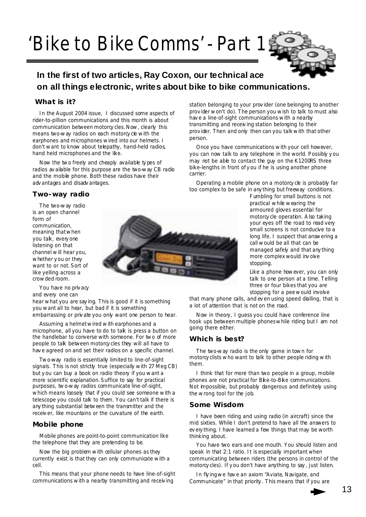# 'Bike to Bike Comms' - Part 1



## **In the first of two articles, Ray Coxon, our technical ace on all things electronic, writes about bike to bike communications.**

## **What is it?**

In the August 2004 issue, I discussed some aspects of rider-to-pillion communications and this month is about communication between motorcy cles. Now, clearly this means two-way radios on each motorcy cle with the earphones and microphones wired into our helmets. I don't want to know about telepathy, hand-held radios, hand held microphones and the like.

Now the two freely and cheaply available ty pes of radios av ailable for this purpose are the two-way CB radio and the mobile phone. Both these radios have their adv antages and disadv antages.

#### **Two-way radio**

The two-way radio is an open channel form of communication, meaning that when you talk, every one listening on that channel will hear you, whether y ou or they want to or not. Sort of like yelling across a crowded room.



You have no priv acy and every one can

hear what you are say ing. This is good if it is something you want all to hear, but bad if it is something embarrassing or priv ate you only want one person to hear.

Assuming a helmet wired with earphones and a microphone, all you have to do to talk is press a button on the handlebar to converse with someone. For two of more people to talk between motorcy cles they will all have to hav e agreed on and set their radios on a specific channel.

Two-way radio is essentially limited to line-of-sight signals. This is not strictly true (especially with 27 Meg CB) but y ou can buy a book on radio theory if you want a more scientific explanation. Suffice to say for practical purposes, two-way radios communicate line-of-sight, which means loosely that if you could see someone with a telescope you could talk to them. You can't talk if there is any thing substantial between the transmitter and the receiv er, like mountains or the curvature of the earth.

## **Mobile phone**

Mobile phones are point-to-point communication like the telephone that they are pretending to be.

Now the big problem with cellular phones as they currently exist is that they can only communicate with a cell.

This means that your phone needs to have line-of-sight communications with a nearby transmitting and receiving

station belonging to your prov ider (one belonging to another prov ider won't do). The person you wish to talk to must also hav e a line-of-sight communications with a nearby transmitting and receiv ing station belonging to their prov ider. Then and only then can you talk with that other person.

Once you have communications with your cell however, you can now talk to any telephone in the world. Possibly y ou may not be able to contact the guy on the K1200RS three bike-lengths in front of y ou if he is using another phone carrier.

Operating a mobile phone on a motorcy cle is probably far too complex to be safe in any thing but freeway conditions.

> Fumbling for small buttons is not practical while wearing the armoured gloves essential for motorcy cle operation. A lso taking your eyes off the road to read very small screens is not conducive to a long life. I suspect that answering a call would be all that can be managed safely and that any thing more complex would inv olve stopping.

Like a phone however, you can only talk to one person at a time. Telling three or four bikes that you are stopping for a pee would involve

that many phone calls, and ev en using speed dialling, that is a lot of attention that is not on the road.

Now in theory, I guess you could have conference line hook ups between multiple phones while riding but I am not going there either.

## **Which is best?**

The two-way radio is the only game in town for motorcy clists who want to talk to other people riding with them.

I think that for more than two people in a group, mobile phones are not practical for Bike-to-Bike communications. Not impossible, but probably dangerous and definitely using the wrong tool for the job.

## **Some Wisdom**

I have been riding and using radio (in aircraft) since the mid sixties. While I don't pretend to have all the answers to ev ery thing, I have learned a few things that may be worth thinking about.

You have two ears and one mouth. You should listen and speak in that 2:1 ratio. It is especially important when communicating between riders (the persons in control of the motorcy cles). If y ou don't have anything to say , just listen.

In flying we have an axiom "Aviate, Navigate, and Communicate" in that priority . This means that if you are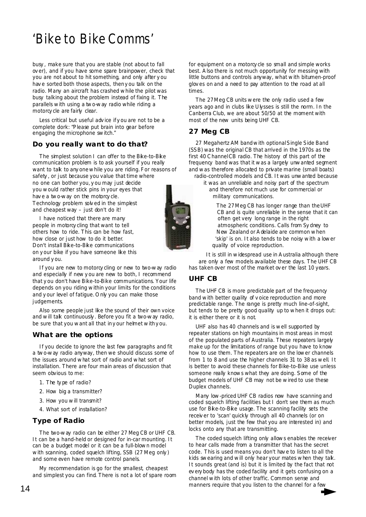## 'Bike to Bike Comms'

busy , make sure that you are stable (not about to fall ov er), and if you have some spare brainpower, check that you are not about to hit something, and only after y ou have sorted both those aspects, then you talk on the radio. Many an aircraft has crashed while the pilot was busy talking about the problem instead of fixing it. The parallels with using a two-way radio while riding a motorcy cle are fairly clear.

Less critical but useful adv ice if y ou are not to be a complete dork: "Please put brain into gear before engaging the microphone switch."

## **Do you really want to do that?**

The simplest solution I can offer to the Bike-to-Bike communication problem is to ask yourself if you really want to talk to any one while you are riding. For reasons of safety , or just because you value that time where no one can bother you, y ou may just decide you would rather stick pins in your eyes that have a two-way on the motorcy cle. Technology problem solv ed in the simplest

and cheapest way – just don't do it! I have noticed that there are many people in motorcy cling that want to tell others how to ride. This can be how fast, how close or just how to do it better. Don't install Bike-to-Bike communications on y our bike if you have someone like this around y ou.

If you are new to motorcy cling or new to two-way radio and especially if new y ou are new to both, I recommend that y ou don't have Bike-to-Bike communications. Your life depends on you riding within your limits for the conditions and y our level of fatigue. O nly you can make those judgements.

Also some people just like the sound of their own voice and will talk continuously . Before you fit a two-way radio, be sure that you want all that in y our helmet with y ou.

## **What are the options**

If you decide to ignore the last few paragraphs and fit a two-way radio anyway, then we should discuss some of the issues around what sort of radio and what sort of installation. There are four main areas of discussion that seem obvious to me:

- 1. The ty pe of radio?
- 2. How big a transmitter?
- 3. How you will transmit?
- 4. What sort of installation?

## **Type of Radio**

The two-way radio can be either 27 Meg CB or UHF CB. It can be a hand-held or designed for in-car mounting. It can be a budget model or it can be a full-blown model with scanning, coded squelch lifting, SSB (27 Meg only) and some even have remote control panels.

My recommendation is go for the smallest, cheapest and simplest you can find. There is not a lot of spare room for equipment on a motorcy cle so small and simple works best. A lso there is not much opportunity for messing with little buttons and controls anyway, what with bitumen-proof glov es on and a need to pay attention to the road at all times.

The 27 Meg CB units were the only radio used a few years ago and in clubs like Ulysses is still the norm. In the Canberra Club, we are about 50/50 at the moment with most of the new units being UHF CB.

## **27 Meg CB**

27 Megahertz AM band with optional Single Side Band (SSB) was the original CB that arrived in the 1970s as the first 40 C hannel CB radio. The history of this part of the frequency band was that it was a largely unwanted segment and was therefore allocated to private marine (small boats) radio-controlled models and CB. It was unwanted because

it was an unreliable and noisy part of the spectrum and therefore not much use for commercial or military communications.

The 27 Meg CB has longer range than the UHF CB and is quite unreliable in the sense that it can often get very long range in the right atmospheric conditions. Calls from Sy dney to New Zealand or A delaide are common when 'skip' is on. It also tends to be noisy with a lower quality of voice reproduction.

It is still in widespread use in A ustralia although there are only a few models available these days. The UHF CB has taken over most of the market ov er the last 10 years.

## **UHF CB**

The UHF CB is more predictable part of the frequency band with better quality of v oice reproduction and more predictable range. The range is pretty much line-of-sight, but tends to be pretty good quality up to when it drops out: it is either there or it is not.

UHF also has 40 channels and is well supported by repeater stations on high mountains in most areas in most of the populated parts of Australia. These repeaters largely make up for the limitations of range but you have to know how to use them. The repeaters are on the lower channels from 1 to 8 and use the higher channels 31 to 38 as well. It is better to avoid these channels for Bike-to-Bike use unless someone really knows what they are doing. Some of the budget models of UHF CB may not be wired to use these Duplex channels.

Many low-priced UHF CB radios now have scanning and coded squelch lifting facilities but I don't see them as much use for Bike-to-Bike usage. The scanning facility sets the receiv er to 'scan' quickly through all 40 channels (or on better models, just the few that you are interested in) and locks onto any that are transmitting.

The coded squelch lifting only allows enables the receiver to hear calls made from a transmitter that has the secret code. This is used means you don't hav e to listen to all the kids swearing and will only hear your mates when they talk. It sounds great (and is) but it is limited by the fact that not ev ery body has the coded facility and it gets confusing on a channel with lots of other traffic. Common sense and manners require that you listen to the channel for a few

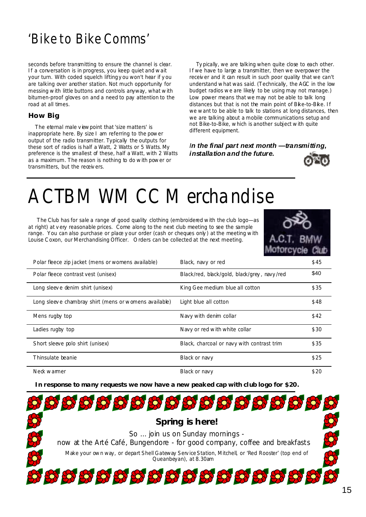## 'Bike to Bike Comms'

seconds before transmitting to ensure the channel is clear. If a conversation is in progress, you keep quiet and wait your turn. With coded squelch lifting y ou won't hear if y ou are talking over another station. Not much opportunity for messing with little buttons and controls anyway, what with bitumen-proof gloves on and a need to pay attention to the road at all times.

## **How Big**

The eternal male view point that 'size matters' is inappropriate here. By size I am referring to the power output of the radio transmitter. Typically the outputs for these sort of radios is half a Watt, 2 Watts or 5 Watts. My preference is the smallest of these, half a Watt, with 2 Watts as a maximum. The reason is nothing to do with power or transmitters, but the receivers.

Ty pically, we are talking when quite close to each other. If we have to large a transmitter, then we overpower the receiv er and it can result in such poor quality that we can't understand what was said. (Technically, the AGC in the low budget radios we are likely to be using may not manage.) Low power means that we may not be able to talk long distances but that is not the main point of Bike-to-Bike. If we want to be able to talk to stations at long distances, then we are talking about a mobile communications setup and not Bike-to-Bike, which is another subject with quite different equipment.

*In the final part next month —transmitting, installation and the future.* 



## ACTBMWMCC Merchandise

 The Club has for sale a range of good quality clothing (embroidered with the club logo—as at right) at v ery reasonable prices. Come along to the next club meeting to see the sample range. You can also purchase or place y our order (cash or cheques only) at the meeting with Louise C oxon, our Merchandising Officer. O rders can be collected at the next meeting.



| Polar fleece zip jacket (mens or womens available)    | Black, navy or red                          | \$45 |
|-------------------------------------------------------|---------------------------------------------|------|
| Polar fleece contrast vest (unisex)                   | Black/red, black/gold, black/grey, navy/red | \$40 |
| Long sleeve denim shirt (unisex)                      | King Gee medium blue all cotton             | \$35 |
| Long sleeve chambray shirt (mens or womens available) | Light blue all cotton                       | \$48 |
| Mens rugby top                                        | Navy with denim collar                      | \$42 |
| Ladies rugby top                                      | Navy or red with white collar               | \$30 |
| Short sleeve polo shirt (unisex)                      | Black, charcoal or navy with contrast trim  | \$35 |
| Thinsulate beanie                                     | Black or navy                               | \$25 |
| Neck warmer                                           | Black or navy                               | \$20 |

**In response to many requests we now have a new peaked cap with club logo for \$20.** 

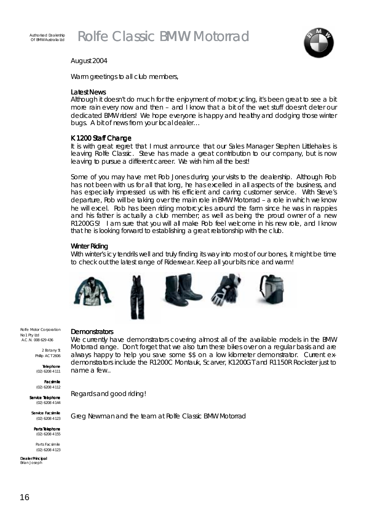



## August 2004

Warm greetings to all club members,

## *Latest News*

Although it doesn't do much for the enjoyment of motorcycling, it's been great to see a bit more rain every now and then – and I know that a bit of the wet stuff doesn't deter our dedicated BMW riders! We hope everyone is happy and healthy and dodging those winter bugs. A bit of news from your local dealer...

## K 1200 Staff Change

It is with great regret that I must announce that our Sales Manager Stephen Littlehales is leaving Rolfe Classic. Steve has made a great contribution to our company, but is now leaving to pursue a different career. We wish him all the best!

Some of you may have met Rob Jones during your visits to the dealership. Although Rob has not been with us for all that long, he has excelled in all aspects of the business, and has especially impressed us with his efficient and caring customer service. With Steve's departure, Rob will be taking over the main role in BMW Motorrad – a role in which we know he will excel. Rob has been riding motorcycles around the farm since he was in nappies and his father is actually a club member; as well as being the proud owner of a new R1200GS! I am sure that you will all make Rob feel welcome in his new role, and I know that he is looking forward to establishing a great relationship with the club.

## Winter Riding

With winter's icy tendrils well and truly finding its way into most of our bones, it might be time to check out the latest range of Riderwear. Keep all your bits nice and warm!



Rolfe Motor Corporation No1 Pty Ltd A.C.N. 008 629 436

> 2 Botany St Phillip ACT 2606

Telephone Telephone (02) 6208 4111

Facsimile Facsimile (02) 6208 4112

Service Telephone (02) 6208 4144

Service Facsimile (02) 6208 4123

Parts Telephone (02) 6208 4155

Parts Facsimile (02) 6208 4123

Dealer Principal Brian Joseph

## **Demonstrators**

We currently have demonstrators covering almost all of the available models in the BMW Motorrad range. Don't forget that we also turn these bikes over on a regular basis and are always happy to help you save some \$\$ on a low kilometer demonstrator. Current exdemonstrators include the R1200C Montauk, Scarver, K1200GT and R1150R Rockster just to name a few..

Regards and good riding!

Greg Newman and the team at Rolfe Classic BMW Motorrad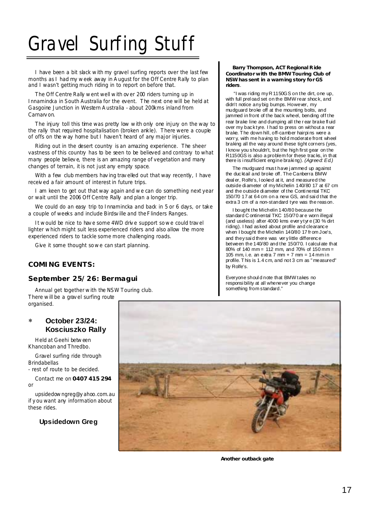# Gravel Surfing Stuff

I have been a bit slack with my gravel surfing reports over the last few months as I had my week away in A ugust for the Off Centre Rally to plan and I wasn't getting much riding in to report on before that.

The Off Centre Rally went well with ov er 200 riders turning up in Innamincka in South Australia for the event. The next one will be held at Gasgoine Junction in Western A ustralia - about 200kms inland from Carnarv on.

The injury toll this time was pretty low with only one injury on the way to the rally that required hospitalisation (broken ankle). There were a couple of offs on the way home but I haven't heard of any major injuries.

Riding out in the desert country is an amazing experience. The sheer vastness of this country has to be seen to be believed and contrary to what many people believ e, there is an amazing range of vegetation and many changes of terrain, it is not just any empty space.

With a few club members hav ing trav elled out that way recently, I have receiv ed a fair amount of interest in future trips.

I am keen to get out that way again and we can do something next year or wait until the 2006 Off Centre Rally and plan a longer trip.

We could do an easy trip to Innamincka and back in 5 or 6 days, or take a couple of weeks and include Birdsv ille and the Flinders Ranges.

It would be nice to have some 4WD drive support so we could travel lighter which might suit less experienced riders and also allow the more experienced riders to tackle some more challenging roads.

Give it some thought so we can start planning.

## **COMING EVENTS:**

## **September 25/26: Bermagui**

Annual get together with the NSW Touring club. There will be a grav el surfing route organised.

## ∗ **October 23/24: Kosciuszko Rally**

Held at Geehi between Khancoban and Thredbo.

Gravel surfing ride through **Brindabellas** 

- rest of route to be decided.

Contact me on **0407 415 294**  or

upsidedowngreg@y ahoo.com.au if y ou want any information about these rides.

## **Upsidedown Greg**

**Another outback gate**

**Barry Thompson, ACT Regional R ide Coordinator with the BMW Touring Club of NSW has sent in a warning story for GS riders**.

 "I was riding my R 1150GS on the dirt, one up, with full prel oad set on the BMW rear shock, and didn't notice any big bumps. However, my mudguard broke off at the mounting bolts, and jammed in front of the back wheel, bending off the rear brake line and dumping all the r ear brake fl uid over my back tyre. I had to press on without a rear brake. T he down hill, off-camber hairpi ns were a worr y, with me having to hol d moderate front wheel braking all the way around these tight corners (yes, I know you shouldn't, but the high first gear on the R1150GS is also a problem for these tracks, in that there is i nsufficient engine braki ng). *(Agreed: Ed.)*

The mudguard must have j ammed up against the ducktail and broke off. The Canberra BMW deal er, Rolfe's, l ooked at it, and measured the outside di ameter of my Michelin 140/80 17 at 67 cm and the outside di ameter of the Conti nental TKC 150/70 17 at 64 cm on a new GS, and sai d that the extra 3 cm of a non-standard tyre was the reason.

I bought the Michelin 140/80 because the standard C ontinental TKC 150/70 ar e worn illegal (and useless) after 4000 kms ever y tyr e (30 % dirt riding). I had asked about profile and clearance when I bought the Michelin 140/80 17 fr om Joe's, and they said there was ver y little difference between the 140/80 and the 150/70. I calcul ate that 80% of 140 mm = 112 mm, and 70% of 150 mm = 105 mm, i.e. an extra  $7 \text{ mm} + 7 \text{ mm} = 14 \text{ mm}$  in profile. T his is 1.4 cm, and not 3 cm as " measured" by Rolfe's.

Everyone shoul d note that BMW takes no responsi bility at all whenever you change something from standard."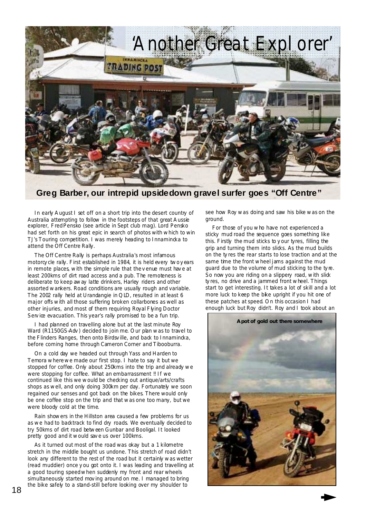

**Greg Barber, our intrepid upsidedown gravel surfer goes "Off Centre"** 

In early August I set off on a short trip into the desert country of Australia attempting to follow in the footsteps of that great A ussie explorer, Fred Pensko (see article in Sept club mag). Lord Pensko had set forth on his great epic in search of photos with which to win TJ's Touring competition. I was merely heading to Innamincka to attend the Off Centre Rally.

The Off Centre Rally is perhaps Australia's most infamous motorcy cle rally. First established in 1984, it is held every two years in remote places, with the simple rule that the v enue must hav e at least 200kms of dirt road access and a pub. The remoteness is deliberate to keep away latte drinkers, Harley riders and other assorted wankers. Road conditions are usually rough and variable. The 2002 rally held at Urandangie in Q ID, resulted in at least 6 major offs with all those suffering broken collarbones as well as other injuries, and most of them requiring Royal Flying Doctor Serv ice evacuation. This year's rally promised to be a fun trip.

I had planned on travelling alone but at the last minute Roy Ward (R1150GS-Adv) decided to join me. Our plan was to travel to the Flinders Ranges, then onto Birdsville, and back to Innamincka, before coming home through Cameron Corner and Tibooburra.

On a cold day we headed out through Yass and Harden to Temora where we made our first stop. I hate to say it but we stopped for coffee. Only about 250kms into the trip and already we were stopping for coffee. What an embarrassment !! If we continued like this we would be checking out antique/arts/crafts shops as well, and only doing 300km per day. Fortunately we soon regained our senses and got back on the bikes. There would only be one coffee stop on the trip and that was one too many, but we were bloody cold at the time.

Rain showers in the Hillston area caused a few problems for us as we had to backtrack to find dry roads. We eventually decided to try 50kms of dirt road between Gunbar and Booligal. It looked pretty good and it would sav e us over 100kms.

As it turned out most of the road was okay but a 1 kilometre stretch in the middle bought us undone. This stretch of road didn't look any different to the rest of the road but it certainly was wetter (read muddier) once y ou got onto it. I was leading and travelling at a good touring speed when suddenly my front and rear wheels simultaneously started moving around on me. I managed to bring the bike safely to a stand-still before looking over my shoulder to

see how Roy was doing and saw his bike was on the ground.

For those of you who have not experienced a sticky mud road the sequence goes something like this. Firstly the mud sticks to y our tyres, filling the grip and turning them into slicks. As the mud builds on the ty res the rear starts to lose traction and at the same time the front wheel jams against the mud guard due to the volume of mud sticking to the ty re. So now you are riding on a slippery road, with slick ty res, no drive and a jammed front wheel. Things start to get interesting. It takes a lot of skill and a lot more luck to keep the bike upright if you hit one of these patches at speed. O n this occasion I had enough luck but Roy didn't. Roy and I took about an

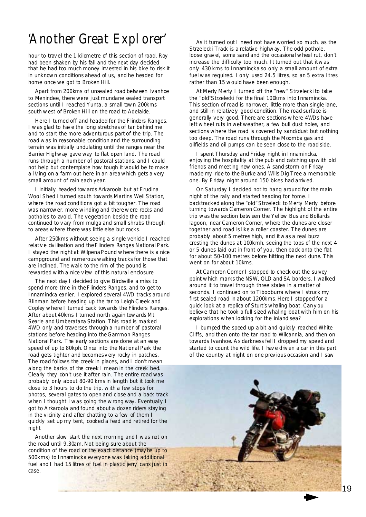## 'Another Great Explorer'

hour to trav el the 1 kilometre of this section of road. Roy had been shaken by his fall and the next day decided that he had too much money inv ested in his bike to risk it in unknown conditions ahead of us, and he headed for home once we got to Broken Hill.

Apart from 200kms of unsealed road between Ivanhoe to Menindee, there were just mundane sealed transport sections until I reached Yunta, a small town 200kms south west of Broken Hill on the road to Adelaide.

Here I turned off and headed for the Flinders Ranges. I was glad to hav e the long stretches of tar behind me and to start the more adventurous part of the trip. The road was in reasonable condition and the surrounding terrain was initially undulating until the ranges near the Barrier Highway gave way to flat open land. The road runs through a number of pastoral stations, and I could not help but contemplate how tough it would be to make a liv ing on a farm out here in an area which gets a very small amount of rain each year.

I initially headed towards Arkaroola but at Erudina Wool Shed I turned south towards Martins Well Station, where the road conditions got a bit tougher. The road was narrower, more winding and there were rocks and potholes to avoid. The vegetation beside the road continued to v ary from mulga and small shrubs through to areas where there was little else but rocks.

After 250kms without seeing a single vehicle I reached relative civilisation and the Flinders Ranges National Park. I stayed the night at Wilpena Pound where there is a nice campground and numerous walking tracks for those that are inclined. The walk to the rim of the pound is rewarded with a nice v iew of this natural enclosure.

The next day I decided to give Birdsville a miss to spend more time in the Flinders Ranges, and to get to Innamincka earlier. I explored several 4WD tracks around Blinman before heading up the tar to Leigh C reek and Copley where I turned back towards the Flinders Ranges. After about 40kms I turned north again towards Mt Searle and Umberatana Station. This road is marked 4WD only and traverses through a number of pastoral stations before heading into the Gammon Ranges National Park. The early sections are done at an easy speed of up to 80kph. O nœ into the National Park the road gets tighter and becomes v ery rocky in patches. The road follows the creek in places, and I don't mean along the banks of the creek I mean in the creek bed. Clearly they don't use it after rain. The entire road was probably only about 80-90 kms in length but it took me close to 3 hours to do the trip, with a few stops for photos, several gates to open and close and a back track when I thought I was going the wrong way. Eventually I got to A rkaroola and found about a dozen riders stay ing in the v icinity and after chatting to a few of them I quickly set up my tent, cooked a feed and retired for the night

Another slow start the next morning and I was not on the road until 9.30am. Not being sure about the condition of the road or the exact distance (may be up to 500kms) to Innamincka ev eryone was taking additional fuel and I had 15 litres of fuel in plastic jerry cans just in case.

As it turned out I need not have worried so much, as the Strzelecki Track is a relative highway. The odd pothole, loose grav el, some sand and the occasional wheel rut, don't increase the difficulty too much. It turned out that it was only 430 kms to Innamincka so only a small amount of extra fuel was required. I only used 24.5 litres, so an 5 extra litres rather than 15 would have been enough.

At Merty Merty I turned off the "new" Strzelecki to take the "old"Strzelecki for the final 100kms into Innamincka. This section of road is narrower, little more than single lane, and still in relatively good condition. The road surface is generally very good. There are sections where 4WDs have left wheel ruts in wet weather, a few bull dust holes, and sections where the road is covered by sand/dust but nothing too deep. The road runs through the Moomba gas and oilfields and oil pumps can be seen close to the road side.

I spent Thursday and Friday night in Innamincka, enjoy ing the hospitality at the pub and catching up with old friends and meeting new ones. A sand storm on Friday made my ride to the Burke and Wills Dig Tree a memorable one. By Friday night around 150 bikes had arriv ed.

On Saturday I decided not to hang around for the main night of the rally and started heading for home. I backtracked along the "old" Strzeleck to Merty Merty before turning towards C ameron Corner. The highlight of the entire trip was the section between the Yellow Bus and Bollards lagoon, near Cameron Corner, where the dunes are closer together and road is like a roller coaster. The dunes are probably about 5 metres high, and it was a real buzz cresting the dunes at 100kmh, seeing the tops of the next 4 or 5 dunes laid out in front of you, then back onto the flat for about 50-100 metres before hitting the next dune. This went on for about 10kms.

At Cameron Corner I stopped to check out the survey point which marks the NSW, QLD and SA borders. I walked around it to travel through three states in a matter of seconds. I continued on to Tibooburra where I struck my first sealed road in about 1200kms. Here I stopped for a quick look at a replica of Sturt's whaling boat. Can y ou believ e that he took a full sized whaling boat with him on his explorations when looking for the inland sea?

I bumped the speed up a bit and quickly reached White Cliffs, and then onto the tar road to Wilcannia, and then on towards Ivanhoe. A s darkness fell I dropped my speed and started to count the wild life. I hav e driv en a car in this part of the country at night on one prev ious occasion and I saw

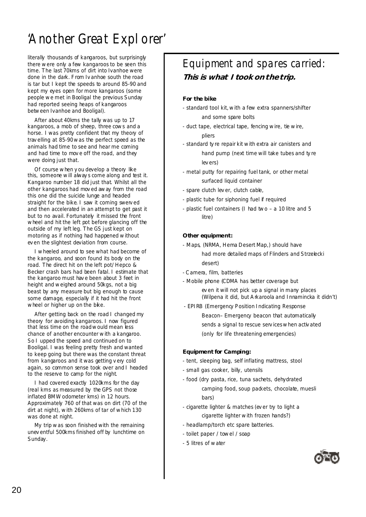## 'Another Great Explorer'

literally thousands of kangaroos, but surprisingly there were only a few kangaroos to be seen this time. The last 70kms of dirt into Ivanhoe were done in the dark. From Iv anhoe south the road is tar but I kept the speeds to around 85-90 and kept my eyes open for more kangaroos (some people we met in Booligal the previous Sunday had reported seeing heaps of kangaroos between Ivanhoe and Booligal).

After about 40kms the tally was up to 17 kangaroos, a mob of sheep, three cows and a horse. I was pretty confident that my theory of trav elling at 85-90 was the perfect speed as the animals had time to see and hear me coming and had time to mov e off the road, and they were doing just that.

Of course when y ou develop a theory like this, someone will alway s come along and test it. Kangaroo number 18 did just that. Whilst all the other kangaroos had mov ed away from the road this one did the suicide lunge and headed straight for the bike. I saw it coming swerv ed and then accelerated in an attempt to get past it but to no avail. Fortunately it missed the front wheel and hit the left pot before glancing off the outside of my left leg. The GS just kept on motoring as if nothing had happened without ev en the slightest deviation from course.

I wheeled around to see what had become of the kangaroo, and soon found its body on the road. The direct hit on the left pot/ Hepco & Becker crash bars had been fatal. I estimate that the kangaroo must hav e been about 3 feet in height and weighed around 50kgs, not a big beast by any measure but big enough to cause some damage, especially if it had hit the front wheel or higher up on the bike.

After getting back on the road I changed my theory for avoiding kangaroos. I now figured that less time on the road would mean less chance of another encounter with a kangaroo. So I upped the speed and continued on to Booligal. I was feeling pretty fresh and wanted to keep going but there was the constant threat from kangaroos and it was getting v ery cold again, so common sense took over and I headed to the reserve to camp for the night.

I had covered exactly 1020kms for the day (real kms as measured by the GPS not those inflated BMW odometer kms) in 12 hours. Approximately 760 of that was on dirt (70 of the dirt at night), with 260kms of tar of which 130 was done at night.

My trip was soon finished with the remaining unev entful 500kms finished off by lunchtime on Sunday.

## Equipment and spares carried: **This is what I took on the trip.**

## **For the bike**

- standard tool kit, with a few extra spanners/shifter and some spare bolts
- duct tape, electrical tape, fencing wire, tie wire, pliers
- standard ty re repair kit with extra air canisters and hand pump (next time will take tubes and ty re lev ers)
- metal putty for repairing fuel tank, or other metal surfaced liquid container
- spare clutch lev er, clutch cable,
- plastic tube for siphoning fuel if required
- plastic fuel containers (I had two a 10 litre and 5 litre)

#### **Other equipment:**

- Maps, (NRMA, Hema Desert Map,) should have had more detailed maps of Flinders and Strzelecki desert)
- C amera, film, batteries
- Mobile phone (CDMA has better coverage but ev en it will not pick up a signal in many places (Wilpena it did, but A rkaroola and Innamincka it didn't)
- EPIRB (Emergency Position Indicating Response Beacon– Emergency beacon that automatically sends a signal to rescue serv ices when activ ated (only for life threatening emergencies)

## **Equipment for Camping:**

- tent, sleeping bag, self inflating mattress, stool
- small gas cooker, billy, utensils
- food (dry pasta, rice, tuna sachets, dehydrated camping food, soup packets, chocolate, muesli bars)
- cigarette lighter & matches (ev er try to light a cigarette lighter with frozen hands?)
- headlamp/torch etc spare batteries.
- toilet paper / towel / soap
- 5 litres of water

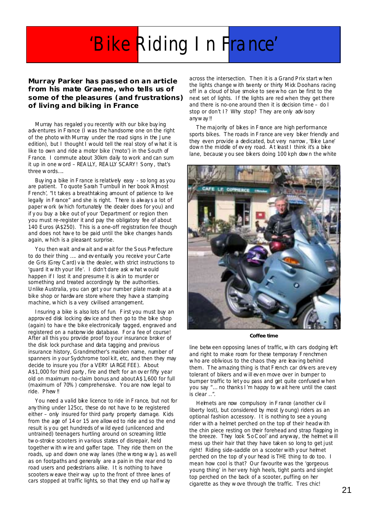# 'Bike Riding In France'

**Murray Parker has passed on an article from his mate Graeme, who tells us of some of the pleasures (and frustrations) of living and biking in France** 

Murray has regaled y ou recently with our bike buy ing adv entures in France (I was the handsome one on the right of the photo with Murray under the road signs in the June edition), but I thought I would tell the real story of what it is like to own and ride a motor bike ('moto') in the South of France. I commute about 30km daily to work and can sum it up in one word – REA LLY, REA LLY SCARY! Sorry , that's three words….

Buy ing a bike in France is relatively easy - so long as you are patient. To quote Sarah Turnbull in her book 'A lmost French', "It takes a breathtaking amount of patience to live legally in France" and she is right. There is alway s a lot of paper work (which fortunately the dealer does for you) and if y ou buy a bike out of your 'Department' or region then you must re-register it and pay the obligatory fee of about 140 Euros (A\$250). This is a one-off registration fee though and does not hav e to be paid until the bike changes hands again, which is a pleasant surprise.

You then wait and wait and wait for the Sous Prefecture to do their thing …. and ev entually you receive your Carte de Gris (Grey C ard) v ia the dealer, with strict instructions to 'guard it with your life'. I didn't dare ask what would happen if I lost it and presume it is akin to murder or something and treated accordingly by the authorities. Unlike Australia, you can get y our number plate made at a bike shop or hardware store where they have a stamping machine, which is a very civilised arrangement.

Insuring a bike is also lots of fun. First you must buy an approv ed disk locking dev ice and then go to the bike shop (again) to hav e the bike electronically tagged, engraved and registered on a nationwide database. For a fee of course! After all this you provide proof to y our insurance broker of the disk lock purchase and data tagging and previous insurance history, Grandmother's maiden name, number of spanners in y our Sydchrome tool kit, etc, and then they may decide to insure you (for a VERY LA RGE FEE). About A\$1,000 for third party , fire and theft for an ov er fifty year old on maximum no-claim bonus and about A\$1,600 for full (maximum of 70%) comprehensive. You are now legal to ride. Phew!!

You need a valid bike licence to ride in France, but not for any thing under 125cc, these do not have to be registered either – only insured for third party property damage. Kids from the age of 14 or 15 are allowed to ride and so the end result is y ou get hundreds of wild eyed (unlicenced and untrained) teenagers hurtling around on screaming little two-stroke scooters in various states of disrepair, held together with wire and gaffer tape. They ride them on the roads, up and down one way lanes (the wrong way ), as well as on footpaths and generally are a pain in the rear end to road users and pedestrians alike. It is nothing to have scooters weave their way up to the front of three lanes of cars stopped at traffic lights, so that they end up half way

across the intersection. Then it is a Grand Prix start when the lights change with twenty or thirty Mick Doohans racing off in a cloud of blue smoke to see who can be first to the next set of lights. If the lights are red when they get there and there is no-one around then it is decision time – do I stop or don't I? Why stop? They are only adv isory anyway !!

The majority of bikes in France are high performance sports bikes. The roads in France are very biker friendly and they even provide a dedicated, but very narrow, 'Bike Lane' down the middle of every road. At least I think it's a bike lane, because y ou see bikers doing 100 kph down the white



#### **Coffee time**

line between opposing lanes of traffic, with cars dodging left and right to make room for these temporary Frenchmen who are oblivious to the chaos they are leaving behind them. The amazing thing is that French car drivers are very tolerant of bikers and will ev en move over in bumper to bumper traffic to let y ou pass and get quite confused when you say "… no thanks I'm happy to wait here until the coast is clear ..".

Helmets are now compulsory in France (another civil liberty lost), but considered by most (y oung) riders as an optional fashion accessory. It is nothing to see a young rider with a helmet perched on the top of their head with the chin piece resting on their forehead and strap flapping in the breeze. They look 'So C ool' and anyway, the helmet will mess up their hair that they have taken so long to get just right! Riding side-saddle on a scooter with y our helmet perched on the top of y our head is THE thing to do too. I mean how cool is that? Our favourite was the 'gorgeous young thing' in her very high heels, tight pants and singlet top perched on the back of a scooter, puffing on her cigarette as they wove through the traffic. Tres chic!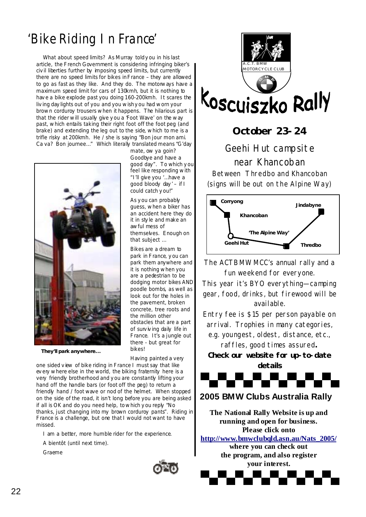## 'Bike Riding In France'

What about speed limits? As Murray told y ou in his last article, the French Government is considering infringing biker's civ il liberties further by imposing speed limits, but currently there are no speed limits for bikes in France – they are allowed to go as fast as they like. And they do. The motorways have a maximum speed limit for cars of 130kmh, but it is nothing to hav e a bike explode past you doing 160-200kmh. It scares the liv ing day lights out of you and you wish y ou had worn your brown corduroy trousers when it happens. The hilarious part is that the rider will usually give you a Foot Wave' on the way past, which entails taking their right foot off the foot peg (and brake) and extending the leg out to the side, which to me is a trifle risky at 200kmh. He / she is saying "Bon jour mon ami. Ca va? Bon journee…" Which literally translated means "G'day



**They'll park anywhere...** 

mate, ow ya goin? Goodbye and have a good day". To which y ou feel like responding with "I'll give you '…have a good bloody day ' – if I could catch y ou!"

As y ou can probably guess, when a biker has an accident here they do it in sty le and make an awful mess of themselves. Enough on that subject …

Bikes are a dream to park in France, y ou can park them anywhere and it is nothing when you are a pedestrian to be dodging motor bikes AND poodle bombs, as well as look out for the holes in the pavement, broken concrete, tree roots and the million other obstacles that are a part of surv iv ing daily life in France. It's a jungle out there - but great for bikes!

Having painted a very

one sided v iew of bike riding in France I must say that like ev ery where else in the world, the biking fraternity here is a very friendly brotherhood and you are constantly lifting your hand off the handle bars (or foot off the peg) to return a friendly hand / foot wave or nod of the helmet. When stopped on the side of the road, it isn't long before you are being asked if all is OK and do you need help, to which y ou reply "No thanks, just changing into my brown corduroy pants". Riding in France is a challenge, but one that I would not want to have missed.

I am a better, more humble rider for the experience.

A bientôt (until next time).

Graeme



## **October 23-24**

Geehi Hut campsite near Khancoban Between Thredbo and Khancoban (signs will be out on the Alpine Way)



The ACTBMWMCC's annual rally and a fun weekend for everyone.

This year it's BYO everything—camping gear, food, drinks, but firewood will be available.

Entry fee is \$15 per person payable on arrival. Trophies in many categories,

e.g. youngest, oldest, distance, etc., raffles, good times assured**.** 

**Check our website for up-to-date details** 



## **2005 BMW Clubs Australia Rally**

**The National Rally Website is up and running and open for business. Please click onto** 

**http://www.bmwclubqld.asn.au/Nats\_2005/**

**where you can check out the program, and also register your interest.** 

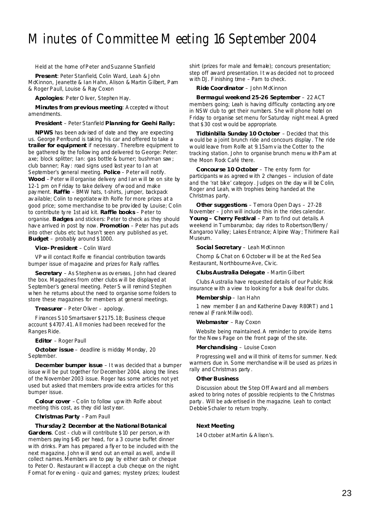## Minutes of Committee Meeting 16 September 2004

Held at the home of Peter and Suzanne Stanfield

**Present**: Peter Stanfield, Colin Ward, Leah & John McKinnon, Jeanette & Ian Hahn, Alison & Martin Gilbert, Pam & Roger Paull, Louise & Ray Coxon

**Apologies**: Peter O liver, Stephen Hay.

**Minutes from previous meeting**: A ccepted without amendments.

#### **President** – Peter Stanfield **Planning for Geehi Rally:**

**NPWS** has been adv ised of date and they are expecting us. George Penfound is taking his car and offered to take a **trailer for equipment** if necessary . Therefore equipment to be gathered by the following and delivered to George: Peter: axe; block splitter; Ian: gas bottle & burner; bushman saw; club banner; Ray : road signs used last year to Ian at September's general meeting. **Police** – Peter will notify. **Wood** – Peter will organise delivery and Ian will be on site by 12-1 pm on Friday to take delivery of wood and make pay ment. **Raffle** – BMW hats, t-shirts, jumper, backpack av ailable; Colin to negotiate with Rolfe for more prizes at a good price; some merchandise to be prov ided by Louise; C olin to contribute ty re 1st aid kit. **Raffle books** – Peter to organise. **Badges** and stickers: Peter to check as they should hav e arrived in post by now. **Promotion** – Peter has put ads into other clubs etc but hasn't seen any published as yet. **Budget** – probably around \$1000.

**Vice- President** – Colin Ward

VP will contact Rolfe re financial contribution towards bumper issue of magazine and prizes for Rally raffles.

**Secretary** – As Stephen was ov erseas, John had cleared the box. Magazines from other clubs will be displayed at September's general meeting. Peter S will remind Stephen when he returns about the need to organise some folders to store these magazines for members at general meetings.

**Treasurer** – Peter Oliver – apology.

Finances S10 Smartsaver \$2175.18; Business cheque account \$4707.41. A ll monies had been received for the Ranges Ride.

**Editor** – Roger Paull

**October issue** – deadline is midday Monday, 20 September.

**December bumper issue** – It was decided that a bumper issue will be put together for December 2004, along the lines of the November 2003 issue. Roger has some articles not yet used but asked that members prov ide extra articles for this bumper issue.

**Colour cover** – C olin to follow up with Rolfe about meeting this cost, as they did last y ear.

**Christmas Party** – Pam Paull

**Thursday 2 December at the National Botanical Gardens**. Cost - club will contribute \$10 per person, with members pay ing \$45 per head, for a 3 course buffet dinner with drinks. Pam has prepared a fly er to be included with the next magazine. John will send out an email as well, and will collect names. Members are to pay by either cash or cheque to Peter O. Restaurant will accept a club cheque on the night. Format for ev ening - quiz and games; mystery prizes; loudest shirt (prizes for male and female); concours presentation; step off award presentation. It was decided not to proceed with DJ. Finishing time – Pam to check.

**Ride Coordinator** – John McKinnon

**Bermagui weekend 25-26 September** – 22 ACT members going; Leah is having difficulty contacting any one in NSW club to get their numbers. She will phone hotel on Friday to organise set menu for Saturday night meal. A greed that \$30 cost would be appropriate.

**Tidbinbilla Sunday 10 October** – Decided that this would be a joint brunch ride and concours display . The ride would leave from Rolfe at 9.15am v ia the Cotter to the tracking station. John to organise brunch menu with Pam at the Moon Rock Café there.

**Concourse 10 October** – The entry form for participants was agreed with 2 changes – inclusion of date and the 'rat bike' category . Judges on the day will be C olin, Roger and Leah, with trophies being handed at the Christmas party.

**Other suggestions** – Temora Open Days – 27-28 November – John will include this in the rides calendar. **Young – Cherry Festival** – Pam to find out details. A weekend in Tumbarumba; day rides to Robertson/Berry / Kangaroo Valley; Lakes Entrance; A lpine Way ; Thirlmere Rail Museum.

**Social Secretary** – Leah McKinnon

Chomp & Chat on 6 October will be at the Red Sea Restaurant, Northbourne Ave, Civic.

**Clubs Australia Delegate** – Martin Gilbert

Clubs A ustralia have requested details of our Public Risk insurance with a view to looking for a bulk deal for clubs.

**Membership** – Ian Hahn

1 new member (Ian and Katherine Davey R80RT) and 1 renewal (Frank Millwood).

**Webmaster** – Ray Coxon

Website being maintained. A reminder to provide items for the News Page on the front page of the site.

#### **Merchandising** – Louise Coxon

Progressing well and will think of items for summer. Neck warmers due in. Some merchandise will be used as prizes in rally and Christmas party .

#### **Other Business**

Discussion about the Step Off Award and all members asked to bring notes of possible recipients to the C hristmas party . Will be adv ertised in the magazine. Leah to contact Debbie Schaler to return trophy.

#### **Next Meeting**

14 O ctober at Martin & A lison's.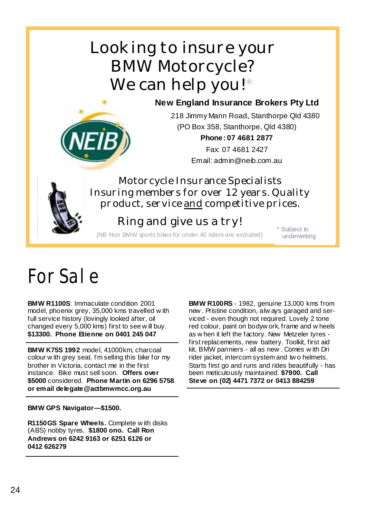## Looking to insure your BMW Motorcycle? We can help you!\*

## **New England Insurance Brokers Pty Ltd**



218 Jimmy Mann Road, Stanthorpe Qld 4380 (PO Box 358, Stanthorpe, Qld 4380) **Phone: 07 4681 2877** 

Fax: 07 4681 2427 Email: admin@neib.com.au

Motorcycle Insurance Specialists Insuring members for over 12 years. Quality product, service and competitive prices.

## Ring and give us a try!

(NB Non BMW sports bikes for under 40 riders are excluded) \* Subject to

underwriting

# For Sale

**BMW R1100S**: Immaculate condition 2001 model, phoenix grey, 35,000 kms travelled w ith full service history (lovingly looked after, oil changed every 5,000 kms) first to see w ill buy. **\$13300. Phone Etienne on 0401 245 047** 

**BMW K75S 1992** model, 41000km, charcoal colour w ith grey seat. I'm selling this bike for my brother in Victoria, contact me in the first instance. Bike must sell soon. **Offers over \$5000** considered. **Phone Martin on 6296 5758 or email delegate@actbmwmcc.org.au** 

## **BMW GPS Navigator—\$1500.**

**R1150GS Spare Wheels.** Complete w ith disks (ABS) nobby tyres. **\$1800 ono. Call Ron Andrews on 6242 9163 or 6251 6126 or 0412 626279** 

**BMW R100RS** - 1982, genuine 13,000 kms from new . Pristine condition, alw ays garaged and serviced - even though not required. Lovely 2 tone red colour, paint on bodyw ork, frame and w heels as w hen it left the factory. New Metzeler tyres first replacements, new battery. Toolkit, first aid kit, BMW panniers - all as new . Comes w ith Dri rider jacket, intercom system and tw o helmets. Starts first go and runs and rides beautifully - has been meticulously maintained. **\$7900. Call Steve on (02) 4471 7372 or 0413 884259**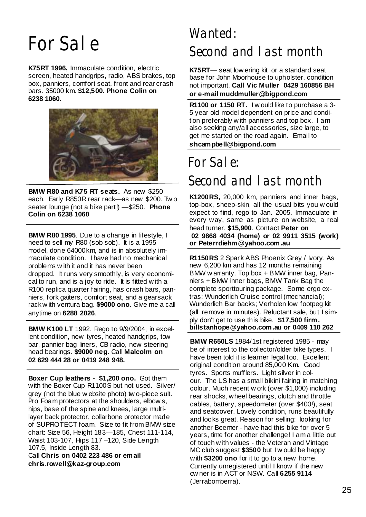# For Sale

**K75RT 1996,** Immaculate condition, electric screen, heated handgrips, radio, ABS brakes, top box, panniers, comfort seat, front and rear crash bars. 35000 km. **\$12,500. Phone Colin on 6238 1060.** 



**BMW R80 and K75 RT seats.** As new \$250 each. Early R850R rear rack—as new \$200. Tw o seater lounge (not a bike part!) —\$250. **Phone Colin on 6238 1060**

**BMW R80 1995**. Due to a change in lifestyle, I need to sell my R80 (sob sob). It is a 1995 model, done 64000km, and is in absolutely immaculate condition. I have had no mechanical problems w ith it and it has never been dropped. It runs very smoothly, is very economical to run, and is a joy to ride. It is fitted w ith a R100 replica quarter fairing, has crash bars, panniers, fork gaiters, comfort seat, and a gearsack rack w ith ventura bag. **\$9000 ono.** Give me a call anytime on **6288 2026**.

**BMW K100 LT** 1992. Rego to 9/9/2004, in excellent condition, new tyres, heated handgrips, tow bar, pannier bag liners, CB radio, new steering head bearings. **\$9000 neg**. Call **Malcolm on 02 629 444 28 or 0419 248 948.**

**Boxer Cup leathers - \$1,200 ono.** Got them with the Boxer Cup R1100S but not used. Silver/ grey (not the blue w ebsite photo) tw o-piece suit. Pro Foam protectors at the shoulders, elbow s, hips, base of the spine and knees, large multilayer back protector, collarbone protector made of SUPROTECT foam. Size to fit from BMW size chart: Size 56, Height 183—185, Chest 111-114, Waist 103-107, Hips 117 –120, Side Length 107.5, Inside Length 83.

Call **Chris on 0402 223 486 or email chris.rowell@kaz-group.com** 

## Wanted: Second and last month

**K75RT**— seat low ering kit or a standard seat base for John Moorhouse to upholster, condition not important. **Call Vic Muller 0429 160856 BH or e-mail muddmuller@bigpond.com** 

**R1100 or 1150 RT.** I w ould like to purchase a 3- 5 year old model dependent on price and condition preferably w ith panniers and top box. I am also seeking any/all accessories, size large, to get me started on the road again. Email to **shcampbell@bigpond.com**

## For Sale: Second and last month

**K1200RS,** 20,000 km, panniers and inner bags, top-box, sheep-skin, all the usual bits you w ould expect to find, rego to Jan. 2005. Immaculate in every way, same as picture on website, a real head turner. **\$15,900**. Contact **Peter on 02 9868 4034 (home) or 02 9911 3515 (work) or Peterrdiehm@yahoo.com.au** 

**R1150RS** 2 Spark ABS Phoenix Grey / Ivory. As new 6,200 km and has 12 months remaining BMW w arranty. Top box + BMW inner bag, Panniers + BMW inner bags, BMW Tank Bag the complete sporttouring package. Some ergo extras: Wunderlich Cruise control (mechancial); Wunderlich Bar backs; Verholen low footpeg kit (all remove in minutes). Reluctant sale, but I simply don't get to use this bike. **\$17,500 firm. billstanhope@yahoo.com.au or 0409 110 262** 

**BMW R650LS** 1984/1st registered 1985 - may be of interest to the collector/older bike types. I have been told it is learner legal too. Excellent original condition around 85,000 Km. Good tyres. Sports mufflers. Light silver in colour. The LS has a small bikini fairing in matching colour. Much recent w ork (over \$1,000) including rear shocks, wheel bearings, clutch and throttle cables, battery, speedometer (over \$400!), seat and seatcover. Lovely condition, runs beautifully and looks great. Reason for selling: looking for another Beemer - have had this bike for over 5 years, time for another challenge! I am a little out of touch w ith values - the Veteran and Vintage MC club suggest **\$3500** but I w ould be happy with **\$3200 ono** for it to go to a new home. Currently unregistered until I know if the new ow ner is in ACT or NSW. Call **6255 9114**  (Jerrabomberra).